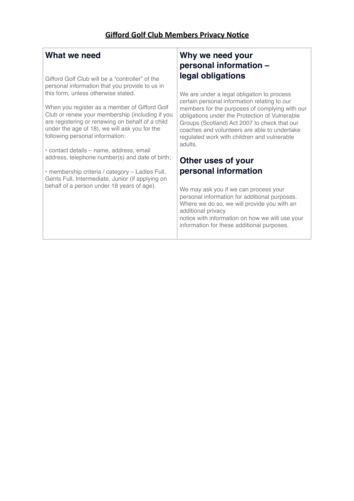#### **What we need**

Gifford Golf Club will be a "controller" of the personal information that you provide to us in this form, unless otherwise stated.

When you register as a member of Gifford Golf Club or renew your membership (including if you are registering or renewing on behalf of a child under the age of 18), we will ask you for the following personal information:

• contact details – name, address, email address, telephone number(s) and date of birth;

• membership criteria / category – Ladies Full, Gents Full, Intermediate, Junior (if applying on behalf of a person under 18 years of age).

### **Why we need your personal information – legal obligations**

We are under a legal obligation to process certain personal information relating to our members for the purposes of complying with our obligations under the Protection of Vulnerable Groups (Scotland) Act 2007 to check that our coaches and volunteers are able to undertake regulated work with children and vulnerable adults.

#### **Other uses of your personal information**

We may ask you if we can process your personal information for additional purposes. Where we do so, we will provide you with an additional privacy

notice with information on how we will use your information for these additional purposes.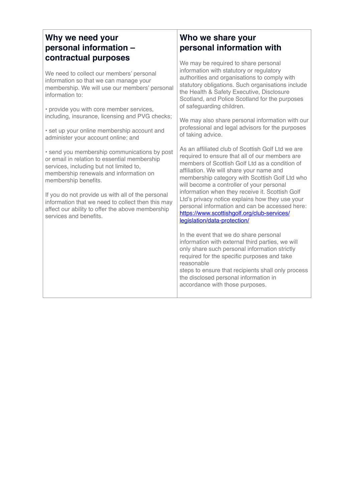#### **Why we need your personal information – contractual purposes**

We need to collect our members' personal information so that we can manage your membership. We will use our members' personal information to:

• provide you with core member services, including, insurance, licensing and PVG checks;

• set up your online membership account and administer your account online; and

• send you membership communications by post or email in relation to essential membership services, including but not limited to, membership renewals and information on membership benefits.

If you do not provide us with all of the personal information that we need to collect then this may affect our ability to offer the above membership services and benefits.

#### **Who we share your personal information with**

We may be required to share personal information with statutory or regulatory authorities and organisations to comply with statutory obligations. Such organisations include the Health & Safety Executive, Disclosure Scotland, and Police Scotland for the purposes of safeguarding children.

We may also share personal information with our professional and legal advisors for the purposes of taking advice.

As an affiliated club of Scottish Golf Ltd we are required to ensure that all of our members are members of Scottish Golf Ltd as a condition of affiliation. We will share your name and membership category with Scottish Golf Ltd who will become a controller of your personal information when they receive it. Scottish Golf Ltd's privacy notice explains how they use your personal information and can be accessed here: [https://www.scottishgolf.org/club-services/](https://www.scottishgolf.org/club-services/legislation/data-protection/) legislation/data-protection/

In the event that we do share personal information with external third parties, we will only share such personal information strictly required for the specific purposes and take reasonable

steps to ensure that recipients shall only process the disclosed personal information in accordance with those purposes.